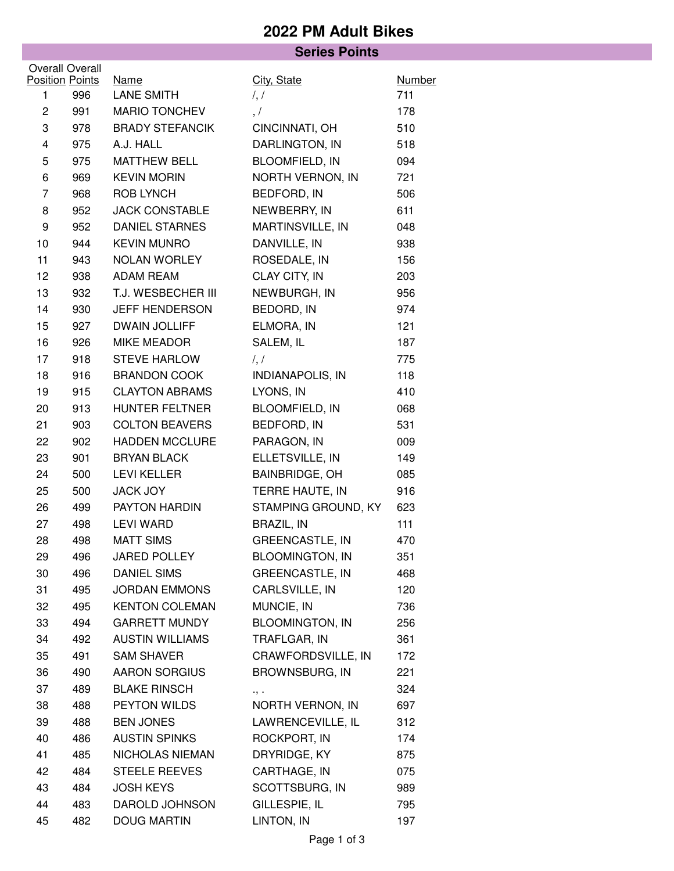## **2022 PM Adult Bikes**

|                         |     | <b>Series Points</b>   |                        |                      |
|-------------------------|-----|------------------------|------------------------|----------------------|
| <b>Overall Overall</b>  |     |                        |                        |                      |
| <b>Position Points</b>  |     | <b>Name</b>            | City, State            | <b>Number</b><br>711 |
| 1                       | 996 | <b>LANE SMITH</b>      | $\frac{1}{2}$          |                      |
| $\overline{c}$          | 991 | <b>MARIO TONCHEV</b>   | , /                    | 178                  |
| 3                       | 978 | <b>BRADY STEFANCIK</b> | CINCINNATI, OH         | 510                  |
| $\overline{\mathbf{4}}$ | 975 | A.J. HALL              | DARLINGTON, IN         | 518                  |
| 5                       | 975 | <b>MATTHEW BELL</b>    | <b>BLOOMFIELD, IN</b>  | 094                  |
| 6                       | 969 | <b>KEVIN MORIN</b>     | NORTH VERNON, IN       | 721                  |
| $\overline{7}$          | 968 | <b>ROB LYNCH</b>       | BEDFORD, IN            | 506                  |
| 8                       | 952 | <b>JACK CONSTABLE</b>  | NEWBERRY, IN           | 611                  |
| 9                       | 952 | <b>DANIEL STARNES</b>  | MARTINSVILLE, IN       | 048                  |
| 10                      | 944 | <b>KEVIN MUNRO</b>     | DANVILLE, IN           | 938                  |
| 11                      | 943 | NOLAN WORLEY           | ROSEDALE, IN           | 156                  |
| 12                      | 938 | <b>ADAM REAM</b>       | CLAY CITY, IN          | 203                  |
| 13                      | 932 | T.J. WESBECHER III     | NEWBURGH, IN           | 956                  |
| 14                      | 930 | JEFF HENDERSON         | BEDORD, IN             | 974                  |
| 15                      | 927 | <b>DWAIN JOLLIFF</b>   | ELMORA, IN             | 121                  |
| 16                      | 926 | MIKE MEADOR            | SALEM, IL              | 187                  |
| 17                      | 918 | <b>STEVE HARLOW</b>    | $\frac{1}{2}$          | 775                  |
| 18                      | 916 | <b>BRANDON COOK</b>    | INDIANAPOLIS, IN       | 118                  |
| 19                      | 915 | <b>CLAYTON ABRAMS</b>  | LYONS, IN              | 410                  |
| 20                      | 913 | <b>HUNTER FELTNER</b>  | BLOOMFIELD, IN         | 068                  |
| 21                      | 903 | <b>COLTON BEAVERS</b>  | BEDFORD, IN            | 531                  |
| 22                      | 902 | <b>HADDEN MCCLURE</b>  | PARAGON, IN            | 009                  |
| 23                      | 901 | <b>BRYAN BLACK</b>     | ELLETSVILLE, IN        | 149                  |
| 24                      | 500 | <b>LEVI KELLER</b>     | <b>BAINBRIDGE, OH</b>  | 085                  |
| 25                      | 500 | JACK JOY               | TERRE HAUTE, IN        | 916                  |
| 26                      | 499 | PAYTON HARDIN          | STAMPING GROUND, KY    | 623                  |
| 27                      | 498 | <b>LEVI WARD</b>       | <b>BRAZIL, IN</b>      | 111                  |
| 28                      | 498 | <b>MATT SIMS</b>       | <b>GREENCASTLE, IN</b> | 470                  |
| 29                      | 496 | JARED POLLEY           | <b>BLOOMINGTON, IN</b> | 351                  |
| 30                      | 496 | <b>DANIEL SIMS</b>     | <b>GREENCASTLE, IN</b> | 468                  |
| 31                      | 495 | <b>JORDAN EMMONS</b>   | CARLSVILLE, IN         | 120                  |
| 32                      | 495 | <b>KENTON COLEMAN</b>  | MUNCIE, IN             | 736                  |
| 33                      | 494 | <b>GARRETT MUNDY</b>   | <b>BLOOMINGTON, IN</b> | 256                  |
| 34                      | 492 | <b>AUSTIN WILLIAMS</b> | TRAFLGAR, IN           | 361                  |
| 35                      | 491 | <b>SAM SHAVER</b>      | CRAWFORDSVILLE, IN     | 172                  |
| 36                      | 490 | <b>AARON SORGIUS</b>   | <b>BROWNSBURG, IN</b>  | 221                  |
| 37                      | 489 | <b>BLAKE RINSCH</b>    | ۰, ۰                   | 324                  |
| 38                      | 488 | PEYTON WILDS           | NORTH VERNON, IN       | 697                  |
| 39                      | 488 | <b>BEN JONES</b>       | LAWRENCEVILLE, IL      | 312                  |
| 40                      | 486 | <b>AUSTIN SPINKS</b>   | ROCKPORT, IN           | 174                  |
| 41                      | 485 | NICHOLAS NIEMAN        | DRYRIDGE, KY           | 875                  |
| 42                      | 484 | <b>STEELE REEVES</b>   | CARTHAGE, IN           | 075                  |
| 43                      | 484 | <b>JOSH KEYS</b>       | SCOTTSBURG, IN         | 989                  |
| 44                      | 483 | DAROLD JOHNSON         | GILLESPIE, IL          | 795                  |
| 45                      | 482 | <b>DOUG MARTIN</b>     | LINTON, IN             | 197                  |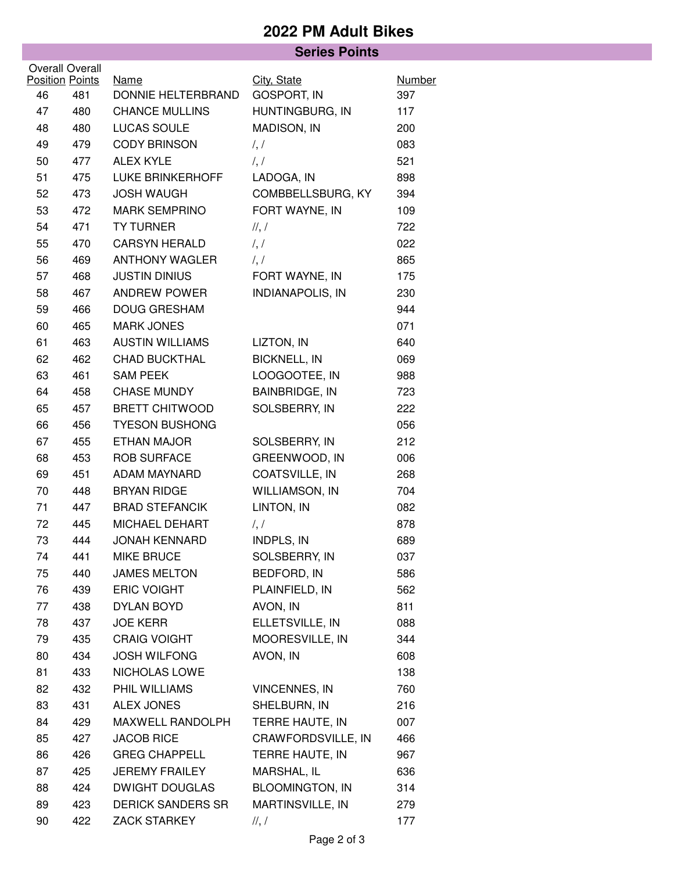## **2022 PM Adult Bikes**

|                        |     | <b>Series Points</b>              |                         |               |  |  |  |
|------------------------|-----|-----------------------------------|-------------------------|---------------|--|--|--|
| <b>Overall Overall</b> |     |                                   |                         |               |  |  |  |
| <b>Position Points</b> |     | <b>Name</b><br>DONNIE HELTERBRAND | City, State             | <b>Number</b> |  |  |  |
| 46                     | 481 |                                   | GOSPORT, IN             | 397           |  |  |  |
| 47                     | 480 | <b>CHANCE MULLINS</b>             | HUNTINGBURG, IN         | 117           |  |  |  |
| 48                     | 480 | LUCAS SOULE                       | MADISON, IN             | 200           |  |  |  |
| 49                     | 479 | <b>CODY BRINSON</b>               | $\frac{1}{2}$           | 083           |  |  |  |
| 50                     | 477 | <b>ALEX KYLE</b>                  | $\frac{1}{2}$           | 521           |  |  |  |
| 51                     | 475 | <b>LUKE BRINKERHOFF</b>           | LADOGA, IN              | 898           |  |  |  |
| 52                     | 473 | <b>JOSH WAUGH</b>                 | COMBBELLSBURG, KY       | 394           |  |  |  |
| 53                     | 472 | <b>MARK SEMPRINO</b>              | FORT WAYNE, IN          | 109           |  |  |  |
| 54                     | 471 | <b>TY TURNER</b>                  | $\frac{1}{2}$           | 722           |  |  |  |
| 55                     | 470 | <b>CARSYN HERALD</b>              | $\frac{1}{2}$           | 022           |  |  |  |
| 56                     | 469 | <b>ANTHONY WAGLER</b>             | $\frac{1}{2}$           | 865           |  |  |  |
| 57                     | 468 | <b>JUSTIN DINIUS</b>              | FORT WAYNE, IN          | 175           |  |  |  |
| 58                     | 467 | ANDREW POWER                      | <b>INDIANAPOLIS, IN</b> | 230           |  |  |  |
| 59                     | 466 | <b>DOUG GRESHAM</b>               |                         | 944           |  |  |  |
| 60                     | 465 | <b>MARK JONES</b>                 |                         | 071           |  |  |  |
| 61                     | 463 | <b>AUSTIN WILLIAMS</b>            | LIZTON, IN              | 640           |  |  |  |
| 62                     | 462 | <b>CHAD BUCKTHAL</b>              | <b>BICKNELL, IN</b>     | 069           |  |  |  |
| 63                     | 461 | <b>SAM PEEK</b>                   | LOOGOOTEE, IN           | 988           |  |  |  |
| 64                     | 458 | <b>CHASE MUNDY</b>                | <b>BAINBRIDGE, IN</b>   | 723           |  |  |  |
| 65                     | 457 | <b>BRETT CHITWOOD</b>             | SOLSBERRY, IN           | 222           |  |  |  |
| 66                     | 456 | <b>TYESON BUSHONG</b>             |                         | 056           |  |  |  |
| 67                     | 455 | ETHAN MAJOR                       | SOLSBERRY, IN           | 212           |  |  |  |
| 68                     | 453 | <b>ROB SURFACE</b>                | GREENWOOD, IN           | 006           |  |  |  |
| 69                     | 451 | ADAM MAYNARD                      | COATSVILLE, IN          | 268           |  |  |  |
| 70                     | 448 | <b>BRYAN RIDGE</b>                | WILLIAMSON, IN          | 704           |  |  |  |
| 71                     | 447 | <b>BRAD STEFANCIK</b>             | LINTON, IN              | 082           |  |  |  |
| 72                     | 445 | MICHAEL DEHART                    | $\frac{1}{2}$           | 878           |  |  |  |
| 73                     | 444 | <b>JONAH KENNARD</b>              | INDPLS, IN              | 689           |  |  |  |
| 74                     | 441 | <b>MIKE BRUCE</b>                 | SOLSBERRY, IN           | 037           |  |  |  |
| 75                     | 440 | <b>JAMES MELTON</b>               | BEDFORD, IN             | 586           |  |  |  |
| 76                     | 439 | <b>ERIC VOIGHT</b>                | PLAINFIELD, IN          | 562           |  |  |  |
| 77                     | 438 | <b>DYLAN BOYD</b>                 | AVON, IN                | 811           |  |  |  |
| 78                     | 437 | <b>JOE KERR</b>                   | ELLETSVILLE, IN         | 088           |  |  |  |
| 79                     | 435 | <b>CRAIG VOIGHT</b>               | MOORESVILLE, IN         | 344           |  |  |  |
| 80                     | 434 | <b>JOSH WILFONG</b>               | AVON, IN                | 608           |  |  |  |
| 81                     | 433 | NICHOLAS LOWE                     |                         | 138           |  |  |  |
| 82                     | 432 | PHIL WILLIAMS                     | <b>VINCENNES, IN</b>    | 760           |  |  |  |
| 83                     | 431 | <b>ALEX JONES</b>                 | SHELBURN, IN            | 216           |  |  |  |
| 84                     | 429 | MAXWELL RANDOLPH                  | TERRE HAUTE, IN         | 007           |  |  |  |
| 85                     | 427 | <b>JACOB RICE</b>                 | CRAWFORDSVILLE, IN      | 466           |  |  |  |
| 86                     | 426 | <b>GREG CHAPPELL</b>              | TERRE HAUTE, IN         | 967           |  |  |  |
| 87                     | 425 | <b>JEREMY FRAILEY</b>             | MARSHAL, IL             | 636           |  |  |  |
| 88                     | 424 | <b>DWIGHT DOUGLAS</b>             | <b>BLOOMINGTON, IN</b>  | 314           |  |  |  |
| 89                     | 423 | <b>DERICK SANDERS SR</b>          | MARTINSVILLE, IN        | 279           |  |  |  |
| 90                     | 422 | <b>ZACK STARKEY</b>               | $\frac{1}{2}$           | 177           |  |  |  |